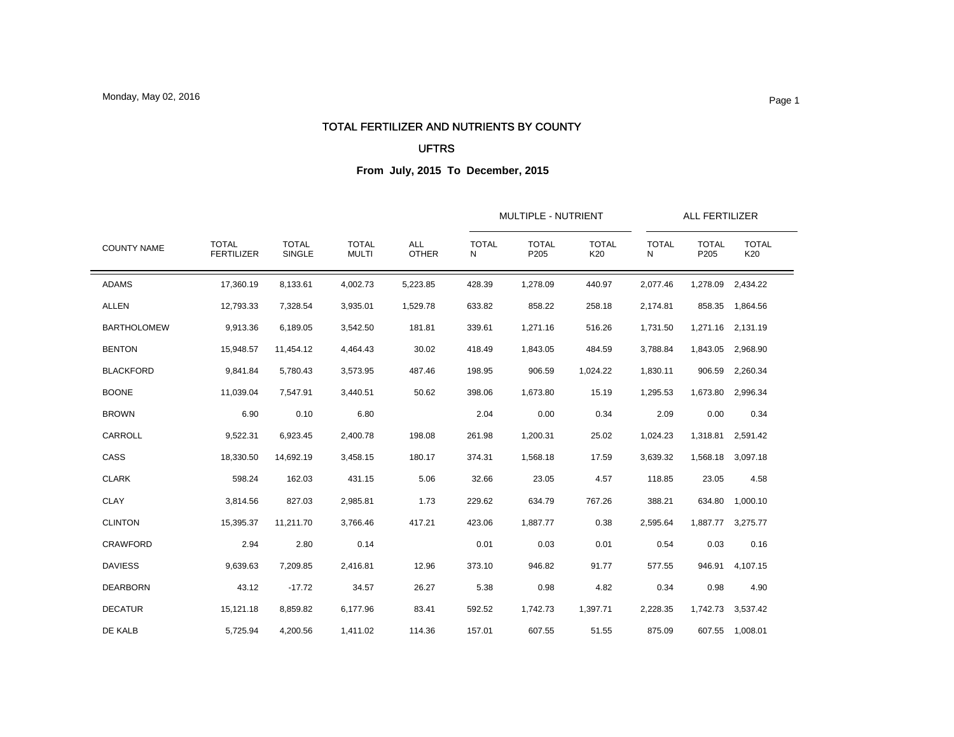#### TOTAL FERTILIZER AND NUTRIENTS BY COUNTY

#### UFTRS

| <b>COUNTY NAME</b> |                                   |                        | <b>TOTAL</b><br><b>MULTI</b> | <b>ALL</b><br><b>OTHER</b> |                   | MULTIPLE - NUTRIENT  |                     | ALL FERTILIZER    |                      |                     |  |
|--------------------|-----------------------------------|------------------------|------------------------------|----------------------------|-------------------|----------------------|---------------------|-------------------|----------------------|---------------------|--|
|                    | <b>TOTAL</b><br><b>FERTILIZER</b> | <b>TOTAL</b><br>SINGLE |                              |                            | <b>TOTAL</b><br>N | <b>TOTAL</b><br>P205 | <b>TOTAL</b><br>K20 | <b>TOTAL</b><br>N | <b>TOTAL</b><br>P205 | <b>TOTAL</b><br>K20 |  |
| <b>ADAMS</b>       | 17,360.19                         | 8,133.61               | 4,002.73                     | 5,223.85                   | 428.39            | 1,278.09             | 440.97              | 2,077.46          | 1,278.09             | 2,434.22            |  |
| <b>ALLEN</b>       | 12,793.33                         | 7,328.54               | 3,935.01                     | 1,529.78                   | 633.82            | 858.22               | 258.18              | 2,174.81          | 858.35               | 1,864.56            |  |
| <b>BARTHOLOMEW</b> | 9,913.36                          | 6,189.05               | 3,542.50                     | 181.81                     | 339.61            | 1,271.16             | 516.26              | 1,731.50          |                      | 1,271.16 2,131.19   |  |
| <b>BENTON</b>      | 15,948.57                         | 11,454.12              | 4,464.43                     | 30.02                      | 418.49            | 1,843.05             | 484.59              | 3,788.84          | 1,843.05             | 2,968.90            |  |
| <b>BLACKFORD</b>   | 9,841.84                          | 5,780.43               | 3,573.95                     | 487.46                     | 198.95            | 906.59               | 1,024.22            | 1,830.11          | 906.59               | 2,260.34            |  |
| <b>BOONE</b>       | 11,039.04                         | 7,547.91               | 3,440.51                     | 50.62                      | 398.06            | 1,673.80             | 15.19               | 1,295.53          | 1,673.80             | 2,996.34            |  |
| <b>BROWN</b>       | 6.90                              | 0.10                   | 6.80                         |                            | 2.04              | 0.00                 | 0.34                | 2.09              | 0.00                 | 0.34                |  |
| CARROLL            | 9,522.31                          | 6,923.45               | 2,400.78                     | 198.08                     | 261.98            | 1,200.31             | 25.02               | 1,024.23          | 1,318.81             | 2,591.42            |  |
| CASS               | 18,330.50                         | 14,692.19              | 3,458.15                     | 180.17                     | 374.31            | 1,568.18             | 17.59               | 3,639.32          |                      | 1,568.18 3,097.18   |  |
| <b>CLARK</b>       | 598.24                            | 162.03                 | 431.15                       | 5.06                       | 32.66             | 23.05                | 4.57                | 118.85            | 23.05                | 4.58                |  |
| <b>CLAY</b>        | 3,814.56                          | 827.03                 | 2,985.81                     | 1.73                       | 229.62            | 634.79               | 767.26              | 388.21            | 634.80               | 1,000.10            |  |
| <b>CLINTON</b>     | 15,395.37                         | 11.211.70              | 3,766.46                     | 417.21                     | 423.06            | 1,887.77             | 0.38                | 2,595.64          |                      | 1,887.77 3,275.77   |  |
| <b>CRAWFORD</b>    | 2.94                              | 2.80                   | 0.14                         |                            | 0.01              | 0.03                 | 0.01                | 0.54              | 0.03                 | 0.16                |  |
| <b>DAVIESS</b>     | 9,639.63                          | 7.209.85               | 2.416.81                     | 12.96                      | 373.10            | 946.82               | 91.77               | 577.55            | 946.91               | 4,107.15            |  |
| <b>DEARBORN</b>    | 43.12                             | $-17.72$               | 34.57                        | 26.27                      | 5.38              | 0.98                 | 4.82                | 0.34              | 0.98                 | 4.90                |  |
| <b>DECATUR</b>     | 15,121.18                         | 8,859.82               | 6,177.96                     | 83.41                      | 592.52            | 1,742.73             | 1,397.71            | 2,228.35          | 1,742.73             | 3,537.42            |  |
| DE KALB            | 5,725.94                          | 4,200.56               | 1,411.02                     | 114.36                     | 157.01            | 607.55               | 51.55               | 875.09            |                      | 607.55 1,008.01     |  |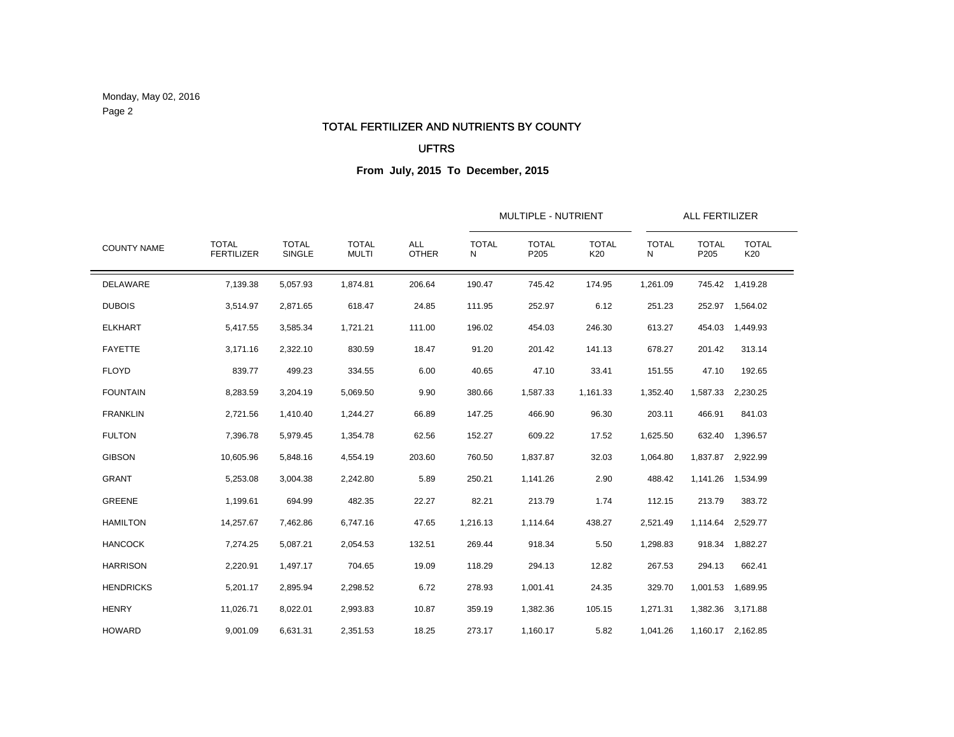Monday, May 02, 2016 Page 2

#### TOTAL FERTILIZER AND NUTRIENTS BY COUNTY

### UFTRS

|                    |                                   |                        |                              |                            | MULTIPLE - NUTRIENT | ALL FERTILIZER       |                     |                   |                      |                     |  |
|--------------------|-----------------------------------|------------------------|------------------------------|----------------------------|---------------------|----------------------|---------------------|-------------------|----------------------|---------------------|--|
| <b>COUNTY NAME</b> | <b>TOTAL</b><br><b>FERTILIZER</b> | <b>TOTAL</b><br>SINGLE | <b>TOTAL</b><br><b>MULTI</b> | <b>ALL</b><br><b>OTHER</b> | <b>TOTAL</b><br>N   | <b>TOTAL</b><br>P205 | <b>TOTAL</b><br>K20 | <b>TOTAL</b><br>N | <b>TOTAL</b><br>P205 | <b>TOTAL</b><br>K20 |  |
| DELAWARE           | 7,139.38                          | 5,057.93               | 1,874.81                     | 206.64                     | 190.47              | 745.42               | 174.95              | 1,261.09          | 745.42               | 1,419.28            |  |
| <b>DUBOIS</b>      | 3,514.97                          | 2,871.65               | 618.47                       | 24.85                      | 111.95              | 252.97               | 6.12                | 251.23            |                      | 252.97 1,564.02     |  |
| <b>ELKHART</b>     | 5,417.55                          | 3,585.34               | 1,721.21                     | 111.00                     | 196.02              | 454.03               | 246.30              | 613.27            | 454.03               | 1,449.93            |  |
| <b>FAYETTE</b>     | 3,171.16                          | 2,322.10               | 830.59                       | 18.47                      | 91.20               | 201.42               | 141.13              | 678.27            | 201.42               | 313.14              |  |
| <b>FLOYD</b>       | 839.77                            | 499.23                 | 334.55                       | 6.00                       | 40.65               | 47.10                | 33.41               | 151.55            | 47.10                | 192.65              |  |
| <b>FOUNTAIN</b>    | 8,283.59                          | 3,204.19               | 5,069.50                     | 9.90                       | 380.66              | 1,587.33             | 1,161.33            | 1,352.40          | 1,587.33             | 2,230.25            |  |
| <b>FRANKLIN</b>    | 2,721.56                          | 1,410.40               | 1,244.27                     | 66.89                      | 147.25              | 466.90               | 96.30               | 203.11            | 466.91               | 841.03              |  |
| <b>FULTON</b>      | 7,396.78                          | 5,979.45               | 1,354.78                     | 62.56                      | 152.27              | 609.22               | 17.52               | 1,625.50          | 632.40               | 1,396.57            |  |
| <b>GIBSON</b>      | 10,605.96                         | 5,848.16               | 4,554.19                     | 203.60                     | 760.50              | 1,837.87             | 32.03               | 1,064.80          | 1,837.87             | 2,922.99            |  |
| <b>GRANT</b>       | 5,253.08                          | 3,004.38               | 2,242.80                     | 5.89                       | 250.21              | 1,141.26             | 2.90                | 488.42            | 1,141.26             | 1,534.99            |  |
| <b>GREENE</b>      | 1,199.61                          | 694.99                 | 482.35                       | 22.27                      | 82.21               | 213.79               | 1.74                | 112.15            | 213.79               | 383.72              |  |
| <b>HAMILTON</b>    | 14,257.67                         | 7,462.86               | 6,747.16                     | 47.65                      | 1,216.13            | 1,114.64             | 438.27              | 2,521.49          | 1,114.64             | 2,529.77            |  |
| <b>HANCOCK</b>     | 7,274.25                          | 5,087.21               | 2,054.53                     | 132.51                     | 269.44              | 918.34               | 5.50                | 1,298.83          | 918.34               | 1,882.27            |  |
| <b>HARRISON</b>    | 2,220.91                          | 1,497.17               | 704.65                       | 19.09                      | 118.29              | 294.13               | 12.82               | 267.53            | 294.13               | 662.41              |  |
| <b>HENDRICKS</b>   | 5,201.17                          | 2,895.94               | 2,298.52                     | 6.72                       | 278.93              | 1,001.41             | 24.35               | 329.70            | 1,001.53             | 1,689.95            |  |
| <b>HENRY</b>       | 11,026.71                         | 8,022.01               | 2,993.83                     | 10.87                      | 359.19              | 1,382.36             | 105.15              | 1,271.31          | 1,382.36             | 3,171.88            |  |
| <b>HOWARD</b>      | 9,001.09                          | 6,631.31               | 2,351.53                     | 18.25                      | 273.17              | 1,160.17             | 5.82                | 1,041.26          |                      | 1,160.17 2,162.85   |  |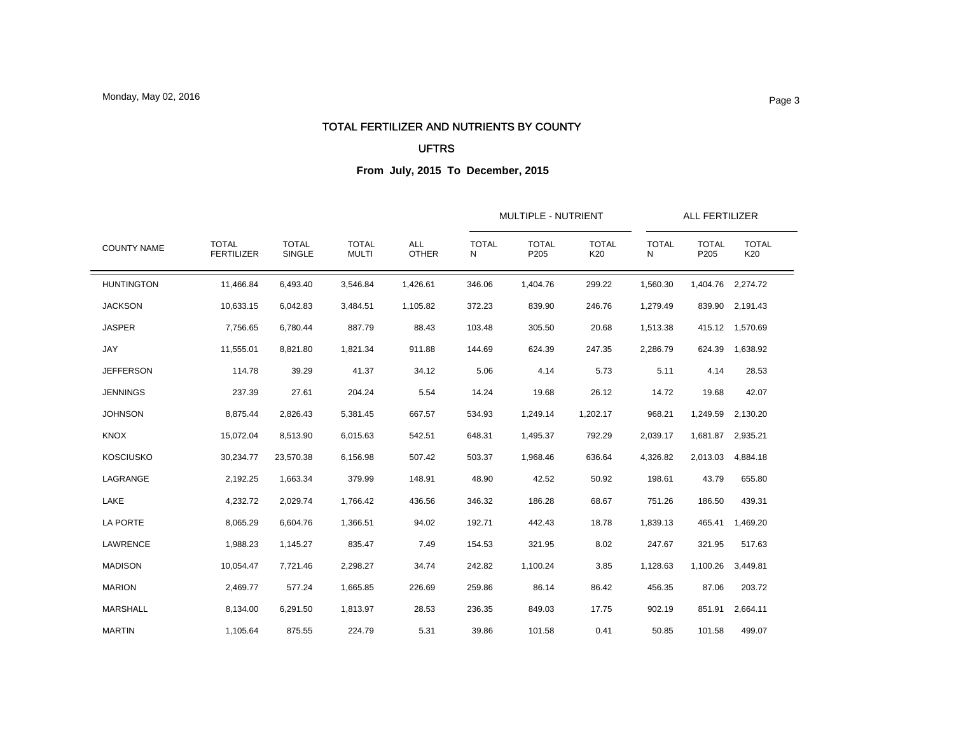#### TOTAL FERTILIZER AND NUTRIENTS BY COUNTY

#### UFTRS

| <b>COUNTY NAME</b> |                                   |                        | <b>TOTAL</b><br><b>MULTI</b> | <b>ALL</b><br><b>OTHER</b> |                   | MULTIPLE - NUTRIENT  |                     | ALL FERTILIZER    |                      |                     |  |
|--------------------|-----------------------------------|------------------------|------------------------------|----------------------------|-------------------|----------------------|---------------------|-------------------|----------------------|---------------------|--|
|                    | <b>TOTAL</b><br><b>FERTILIZER</b> | <b>TOTAL</b><br>SINGLE |                              |                            | <b>TOTAL</b><br>N | <b>TOTAL</b><br>P205 | <b>TOTAL</b><br>K20 | <b>TOTAL</b><br>N | <b>TOTAL</b><br>P205 | <b>TOTAL</b><br>K20 |  |
| <b>HUNTINGTON</b>  | 11,466.84                         | 6,493.40               | 3,546.84                     | 1,426.61                   | 346.06            | 1,404.76             | 299.22              | 1,560.30          |                      | 1,404.76 2,274.72   |  |
| <b>JACKSON</b>     | 10,633.15                         | 6,042.83               | 3,484.51                     | 1,105.82                   | 372.23            | 839.90               | 246.76              | 1,279.49          | 839.90               | 2,191.43            |  |
| <b>JASPER</b>      | 7,756.65                          | 6,780.44               | 887.79                       | 88.43                      | 103.48            | 305.50               | 20.68               | 1,513.38          |                      | 415.12 1,570.69     |  |
| JAY                | 11,555.01                         | 8,821.80               | 1,821.34                     | 911.88                     | 144.69            | 624.39               | 247.35              | 2,286.79          | 624.39               | 1,638.92            |  |
| <b>JEFFERSON</b>   | 114.78                            | 39.29                  | 41.37                        | 34.12                      | 5.06              | 4.14                 | 5.73                | 5.11              | 4.14                 | 28.53               |  |
| <b>JENNINGS</b>    | 237.39                            | 27.61                  | 204.24                       | 5.54                       | 14.24             | 19.68                | 26.12               | 14.72             | 19.68                | 42.07               |  |
| <b>JOHNSON</b>     | 8,875.44                          | 2,826.43               | 5,381.45                     | 667.57                     | 534.93            | 1,249.14             | 1,202.17            | 968.21            | 1,249.59             | 2,130.20            |  |
| <b>KNOX</b>        | 15,072.04                         | 8,513.90               | 6,015.63                     | 542.51                     | 648.31            | 1,495.37             | 792.29              | 2,039.17          | 1,681.87             | 2,935.21            |  |
| <b>KOSCIUSKO</b>   | 30,234.77                         | 23,570.38              | 6,156.98                     | 507.42                     | 503.37            | 1,968.46             | 636.64              | 4,326.82          | 2,013.03             | 4,884.18            |  |
| LAGRANGE           | 2,192.25                          | 1,663.34               | 379.99                       | 148.91                     | 48.90             | 42.52                | 50.92               | 198.61            | 43.79                | 655.80              |  |
| LAKE               | 4,232.72                          | 2,029.74               | 1,766.42                     | 436.56                     | 346.32            | 186.28               | 68.67               | 751.26            | 186.50               | 439.31              |  |
| LA PORTE           | 8,065.29                          | 6,604.76               | 1,366.51                     | 94.02                      | 192.71            | 442.43               | 18.78               | 1,839.13          | 465.41               | 1,469.20            |  |
| LAWRENCE           | 1,988.23                          | 1,145.27               | 835.47                       | 7.49                       | 154.53            | 321.95               | 8.02                | 247.67            | 321.95               | 517.63              |  |
| <b>MADISON</b>     | 10,054.47                         | 7,721.46               | 2,298.27                     | 34.74                      | 242.82            | 1,100.24             | 3.85                | 1,128.63          | 1,100.26             | 3,449.81            |  |
| <b>MARION</b>      | 2,469.77                          | 577.24                 | 1,665.85                     | 226.69                     | 259.86            | 86.14                | 86.42               | 456.35            | 87.06                | 203.72              |  |
| <b>MARSHALL</b>    | 8,134.00                          | 6,291.50               | 1,813.97                     | 28.53                      | 236.35            | 849.03               | 17.75               | 902.19            | 851.91               | 2,664.11            |  |
| <b>MARTIN</b>      | 1,105.64                          | 875.55                 | 224.79                       | 5.31                       | 39.86             | 101.58               | 0.41                | 50.85             | 101.58               | 499.07              |  |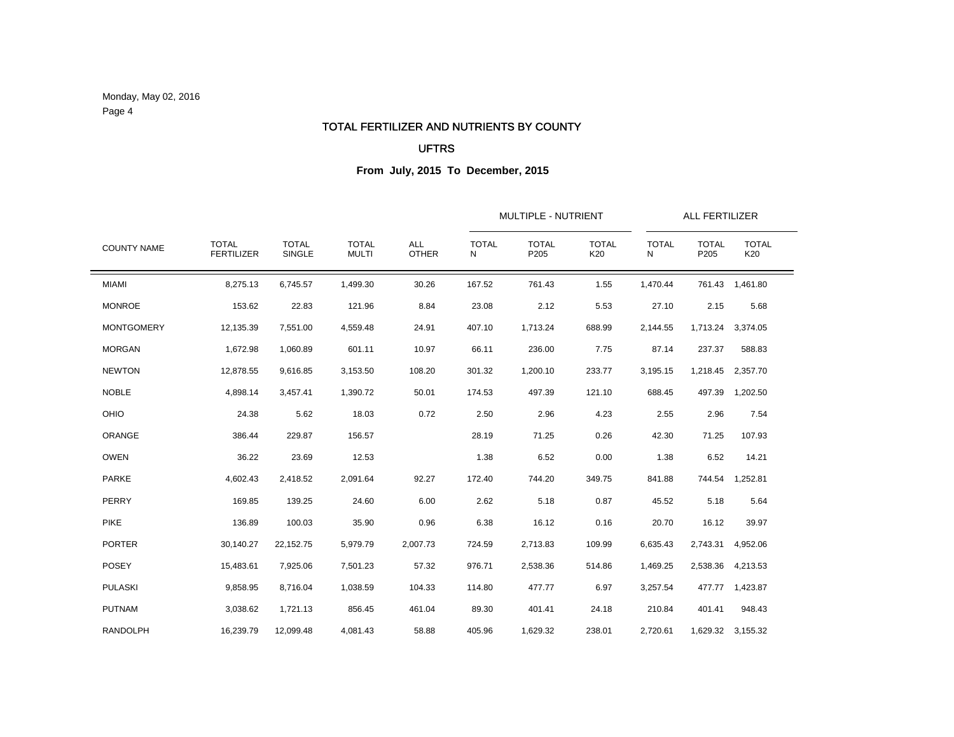Monday, May 02, 2016 Page 4

#### TOTAL FERTILIZER AND NUTRIENTS BY COUNTY

### UFTRS

|                    |                                   |                        |                              | <b>ALL</b><br><b>OTHER</b> |                   | <b>MULTIPLE - NUTRIENT</b> | ALL FERTILIZER      |                   |                      |                     |  |
|--------------------|-----------------------------------|------------------------|------------------------------|----------------------------|-------------------|----------------------------|---------------------|-------------------|----------------------|---------------------|--|
| <b>COUNTY NAME</b> | <b>TOTAL</b><br><b>FERTILIZER</b> | <b>TOTAL</b><br>SINGLE | <b>TOTAL</b><br><b>MULTI</b> |                            | <b>TOTAL</b><br>N | <b>TOTAL</b><br>P205       | <b>TOTAL</b><br>K20 | <b>TOTAL</b><br>N | <b>TOTAL</b><br>P205 | <b>TOTAL</b><br>K20 |  |
| <b>MIAMI</b>       | 8,275.13                          | 6,745.57               | 1,499.30                     | 30.26                      | 167.52            | 761.43                     | 1.55                | 1,470.44          | 761.43               | 1,461.80            |  |
| <b>MONROE</b>      | 153.62                            | 22.83                  | 121.96                       | 8.84                       | 23.08             | 2.12                       | 5.53                | 27.10             | 2.15                 | 5.68                |  |
| <b>MONTGOMERY</b>  | 12,135.39                         | 7,551.00               | 4,559.48                     | 24.91                      | 407.10            | 1,713.24                   | 688.99              | 2,144.55          | 1,713.24             | 3,374.05            |  |
| <b>MORGAN</b>      | 1,672.98                          | 1,060.89               | 601.11                       | 10.97                      | 66.11             | 236.00                     | 7.75                | 87.14             | 237.37               | 588.83              |  |
| <b>NEWTON</b>      | 12,878.55                         | 9,616.85               | 3,153.50                     | 108.20                     | 301.32            | 1,200.10                   | 233.77              | 3,195.15          | 1,218.45             | 2,357.70            |  |
| <b>NOBLE</b>       | 4,898.14                          | 3,457.41               | 1,390.72                     | 50.01                      | 174.53            | 497.39                     | 121.10              | 688.45            | 497.39               | 1,202.50            |  |
| OHIO               | 24.38                             | 5.62                   | 18.03                        | 0.72                       | 2.50              | 2.96                       | 4.23                | 2.55              | 2.96                 | 7.54                |  |
| ORANGE             | 386.44                            | 229.87                 | 156.57                       |                            | 28.19             | 71.25                      | 0.26                | 42.30             | 71.25                | 107.93              |  |
| <b>OWEN</b>        | 36.22                             | 23.69                  | 12.53                        |                            | 1.38              | 6.52                       | 0.00                | 1.38              | 6.52                 | 14.21               |  |
| <b>PARKE</b>       | 4,602.43                          | 2,418.52               | 2,091.64                     | 92.27                      | 172.40            | 744.20                     | 349.75              | 841.88            | 744.54               | 1,252.81            |  |
| PERRY              | 169.85                            | 139.25                 | 24.60                        | 6.00                       | 2.62              | 5.18                       | 0.87                | 45.52             | 5.18                 | 5.64                |  |
| <b>PIKE</b>        | 136.89                            | 100.03                 | 35.90                        | 0.96                       | 6.38              | 16.12                      | 0.16                | 20.70             | 16.12                | 39.97               |  |
| <b>PORTER</b>      | 30,140.27                         | 22,152.75              | 5,979.79                     | 2,007.73                   | 724.59            | 2,713.83                   | 109.99              | 6,635.43          | 2,743.31             | 4,952.06            |  |
| <b>POSEY</b>       | 15,483.61                         | 7,925.06               | 7,501.23                     | 57.32                      | 976.71            | 2,538.36                   | 514.86              | 1,469.25          | 2,538.36             | 4,213.53            |  |
| <b>PULASKI</b>     | 9,858.95                          | 8,716.04               | 1,038.59                     | 104.33                     | 114.80            | 477.77                     | 6.97                | 3,257.54          | 477.77               | 1,423.87            |  |
| <b>PUTNAM</b>      | 3,038.62                          | 1,721.13               | 856.45                       | 461.04                     | 89.30             | 401.41                     | 24.18               | 210.84            | 401.41               | 948.43              |  |
| <b>RANDOLPH</b>    | 16,239.79                         | 12,099.48              | 4,081.43                     | 58.88                      | 405.96            | 1,629.32                   | 238.01              | 2,720.61          |                      | 1,629.32 3,155.32   |  |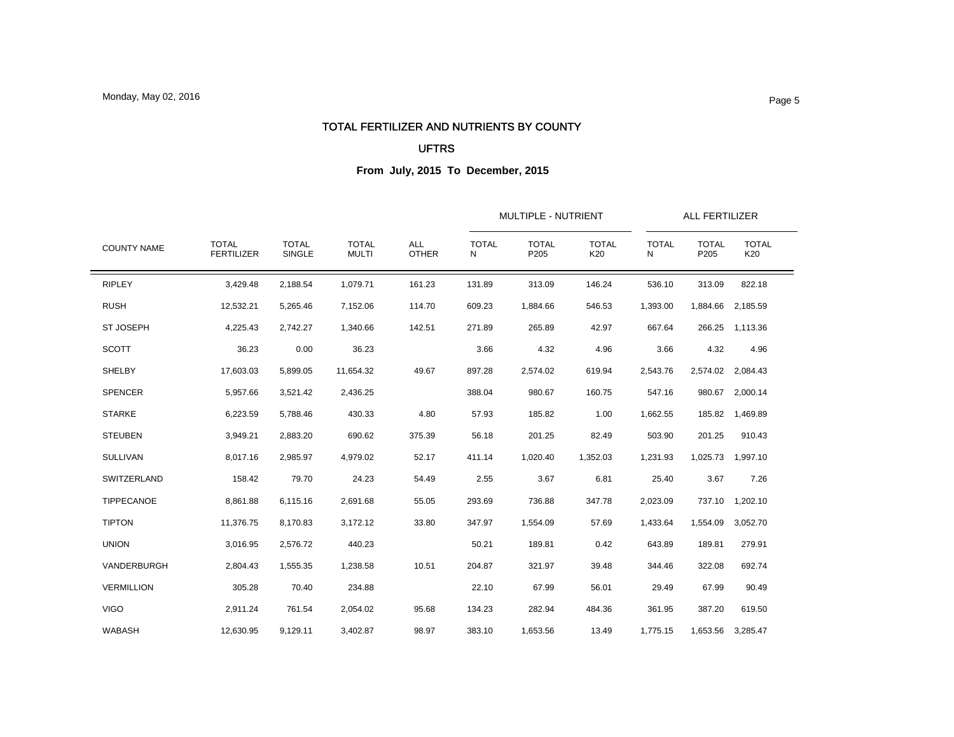### TOTAL FERTILIZER AND NUTRIENTS BY COUNTY

#### UFTRS

| <b>COUNTY NAME</b> |                                   |                        | <b>TOTAL</b><br><b>MULTI</b> | <b>ALL</b><br><b>OTHER</b> |                   | MULTIPLE - NUTRIENT  |                     | ALL FERTILIZER    |                      |                     |
|--------------------|-----------------------------------|------------------------|------------------------------|----------------------------|-------------------|----------------------|---------------------|-------------------|----------------------|---------------------|
|                    | <b>TOTAL</b><br><b>FERTILIZER</b> | <b>TOTAL</b><br>SINGLE |                              |                            | <b>TOTAL</b><br>N | <b>TOTAL</b><br>P205 | <b>TOTAL</b><br>K20 | <b>TOTAL</b><br>N | <b>TOTAL</b><br>P205 | <b>TOTAL</b><br>K20 |
| <b>RIPLEY</b>      | 3,429.48                          | 2,188.54               | 1,079.71                     | 161.23                     | 131.89            | 313.09               | 146.24              | 536.10            | 313.09               | 822.18              |
| <b>RUSH</b>        | 12,532.21                         | 5,265.46               | 7,152.06                     | 114.70                     | 609.23            | 1,884.66             | 546.53              | 1,393.00          | 1,884.66             | 2,185.59            |
| <b>ST JOSEPH</b>   | 4,225.43                          | 2,742.27               | 1,340.66                     | 142.51                     | 271.89            | 265.89               | 42.97               | 667.64            | 266.25               | 1,113.36            |
| <b>SCOTT</b>       | 36.23                             | 0.00                   | 36.23                        |                            | 3.66              | 4.32                 | 4.96                | 3.66              | 4.32                 | 4.96                |
| SHELBY             | 17,603.03                         | 5,899.05               | 11,654.32                    | 49.67                      | 897.28            | 2,574.02             | 619.94              | 2,543.76          |                      | 2,574.02 2,084.43   |
| <b>SPENCER</b>     | 5,957.66                          | 3,521.42               | 2,436.25                     |                            | 388.04            | 980.67               | 160.75              | 547.16            | 980.67               | 2,000.14            |
| <b>STARKE</b>      | 6,223.59                          | 5,788.46               | 430.33                       | 4.80                       | 57.93             | 185.82               | 1.00                | 1,662.55          |                      | 185.82 1,469.89     |
| <b>STEUBEN</b>     | 3,949.21                          | 2,883.20               | 690.62                       | 375.39                     | 56.18             | 201.25               | 82.49               | 503.90            | 201.25               | 910.43              |
| <b>SULLIVAN</b>    | 8,017.16                          | 2,985.97               | 4,979.02                     | 52.17                      | 411.14            | 1,020.40             | 1,352.03            | 1,231.93          |                      | 1,025.73 1,997.10   |
| <b>SWITZERLAND</b> | 158.42                            | 79.70                  | 24.23                        | 54.49                      | 2.55              | 3.67                 | 6.81                | 25.40             | 3.67                 | 7.26                |
| TIPPECANOE         | 8,861.88                          | 6,115.16               | 2,691.68                     | 55.05                      | 293.69            | 736.88               | 347.78              | 2,023.09          | 737.10               | 1,202.10            |
| <b>TIPTON</b>      | 11,376.75                         | 8,170.83               | 3,172.12                     | 33.80                      | 347.97            | 1,554.09             | 57.69               | 1,433.64          | 1,554.09             | 3,052.70            |
| <b>UNION</b>       | 3,016.95                          | 2,576.72               | 440.23                       |                            | 50.21             | 189.81               | 0.42                | 643.89            | 189.81               | 279.91              |
| VANDERBURGH        | 2,804.43                          | 1.555.35               | 1,238.58                     | 10.51                      | 204.87            | 321.97               | 39.48               | 344.46            | 322.08               | 692.74              |
| <b>VERMILLION</b>  | 305.28                            | 70.40                  | 234.88                       |                            | 22.10             | 67.99                | 56.01               | 29.49             | 67.99                | 90.49               |
| <b>VIGO</b>        | 2,911.24                          | 761.54                 | 2,054.02                     | 95.68                      | 134.23            | 282.94               | 484.36              | 361.95            | 387.20               | 619.50              |
| <b>WABASH</b>      | 12,630.95                         | 9,129.11               | 3,402.87                     | 98.97                      | 383.10            | 1,653.56             | 13.49               | 1,775.15          |                      | 1,653.56 3,285.47   |